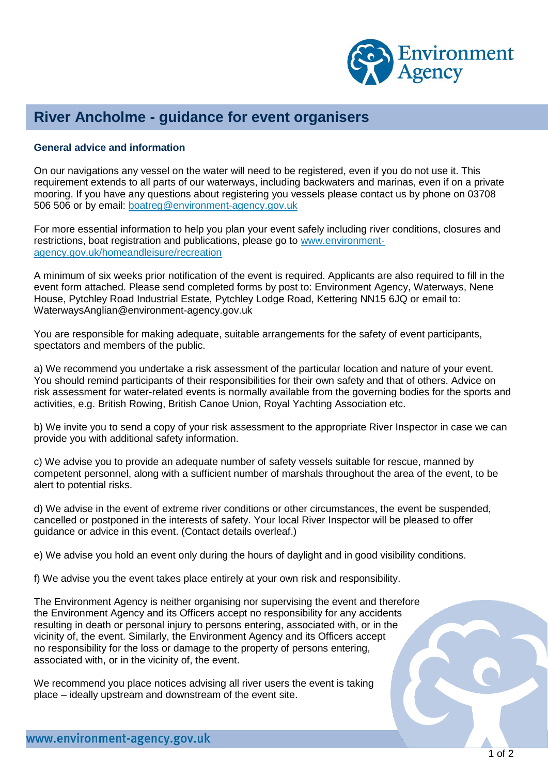

## **River Ancholme - guidance for event organisers**

## **General advice and information**

On our navigations any vessel on the water will need to be registered, even if you do not use it. This requirement extends to all parts of our waterways, including backwaters and marinas, even if on a private mooring. If you have any questions about registering you vessels please contact us by phone on 03708 506 506 or by email: [boatreg@environment-agency.gov.uk](mailto:boatreg@environment-agency.gov.uk)

For more essential information to help you plan your event safely including river conditions, closures and restrictions, boat registration and publications, please go to [www.environment](http://www.environment-agency.gov.uk/homeandleisure/recreation)[agency.gov.uk/homeandleisure/recreation](http://www.environment-agency.gov.uk/homeandleisure/recreation)

A minimum of six weeks prior notification of the event is required. Applicants are also required to fill in the event form attached. Please send completed forms by post to: Environment Agency, Waterways, Nene House, Pytchley Road Industrial Estate, Pytchley Lodge Road, Kettering NN15 6JQ or email to: WaterwaysAnglian@environment-agency.gov.uk

You are responsible for making adequate, suitable arrangements for the safety of event participants, spectators and members of the public.

a) We recommend you undertake a risk assessment of the particular location and nature of your event. You should remind participants of their responsibilities for their own safety and that of others. Advice on risk assessment for water-related events is normally available from the governing bodies for the sports and activities, e.g. British Rowing, British Canoe Union, Royal Yachting Association etc.

b) We invite you to send a copy of your risk assessment to the appropriate River Inspector in case we can provide you with additional safety information.

c) We advise you to provide an adequate number of safety vessels suitable for rescue, manned by competent personnel, along with a sufficient number of marshals throughout the area of the event, to be alert to potential risks.

d) We advise in the event of extreme river conditions or other circumstances, the event be suspended, cancelled or postponed in the interests of safety. Your local River Inspector will be pleased to offer guidance or advice in this event. (Contact details overleaf.)

e) We advise you hold an event only during the hours of daylight and in good visibility conditions.

f) We advise you the event takes place entirely at your own risk and responsibility.

The Environment Agency is neither organising nor supervising the event and therefore the Environment Agency and its Officers accept no responsibility for any accidents resulting in death or personal injury to persons entering, associated with, or in the vicinity of, the event. Similarly, the Environment Agency and its Officers accept no responsibility for the loss or damage to the property of persons entering, associated with, or in the vicinity of, the event.

We recommend you place notices advising all river users the event is taking place – ideally upstream and downstream of the event site.